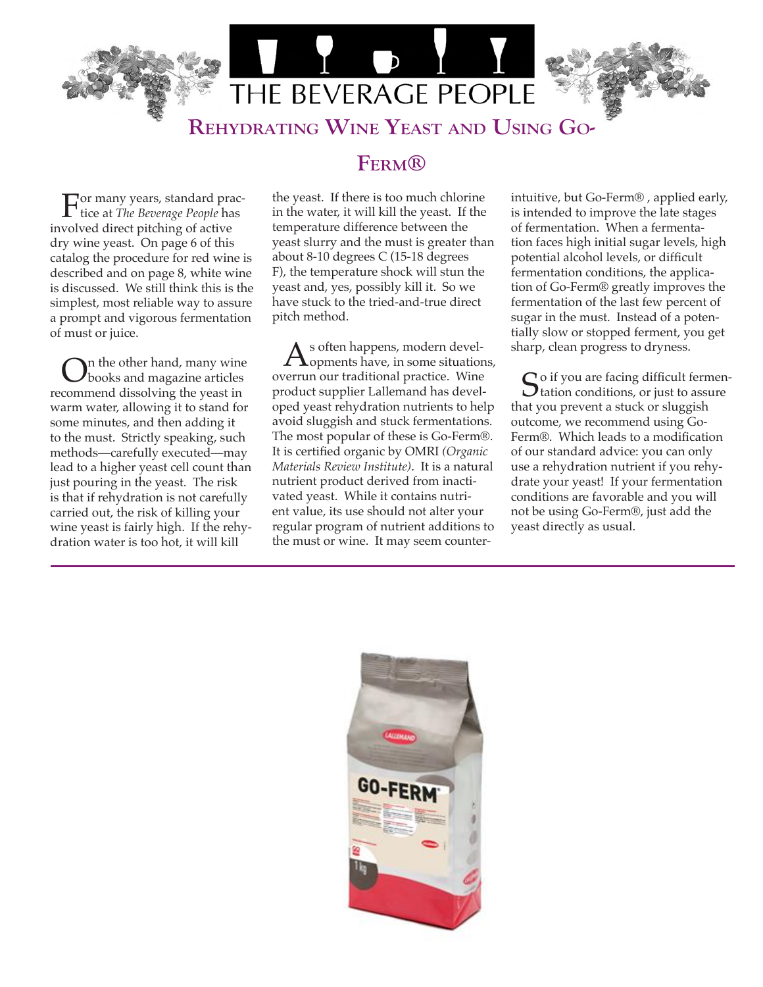

## **FERM®**

For many years, standard prac-tice at *The Beverage People* has involved direct pitching of active dry wine yeast. On page 6 of this catalog the procedure for red wine is described and on page 8, white wine is discussed. We still think this is the simplest, most reliable way to assure a prompt and vigorous fermentation of must or juice.

On the other hand, many wine<br>books and magazine articles recommend dissolving the yeast in warm water, allowing it to stand for some minutes, and then adding it to the must. Strictly speaking, such methods—carefully executed—may lead to a higher yeast cell count than just pouring in the yeast. The risk is that if rehydration is not carefully carried out, the risk of killing your wine yeast is fairly high. If the rehydration water is too hot, it will kill

the yeast. If there is too much chlorine in the water, it will kill the yeast. If the temperature difference between the yeast slurry and the must is greater than about 8-10 degrees C (15-18 degrees F), the temperature shock will stun the yeast and, yes, possibly kill it. So we have stuck to the tried-and-true direct pitch method.

 $\mathbf{A}$ s often happens, modern devel-<br>comments have, in some situations, overrun our traditional practice. Wine product supplier Lallemand has developed yeast rehydration nutrients to help avoid sluggish and stuck fermentations. The most popular of these is Go-Ferm®. It is certified organic by OMRI *(Organic Materials Review Institute)*. It is a natural nutrient product derived from inactivated yeast. While it contains nutrient value, its use should not alter your regular program of nutrient additions to the must or wine. It may seem counterintuitive, but Go-Ferm® , applied early, is intended to improve the late stages of fermentation. When a fermentation faces high initial sugar levels, high potential alcohol levels, or difficult fermentation conditions, the application of Go-Ferm® greatly improves the fermentation of the last few percent of sugar in the must. Instead of a potentially slow or stopped ferment, you get sharp, clean progress to dryness.

So if you are facing difficult fermen-<br>tation conditions, or just to assure that you prevent a stuck or sluggish outcome, we recommend using Go-Ferm®. Which leads to a modification of our standard advice: you can only use a rehydration nutrient if you rehydrate your yeast! If your fermentation conditions are favorable and you will not be using Go-Ferm®, just add the yeast directly as usual.